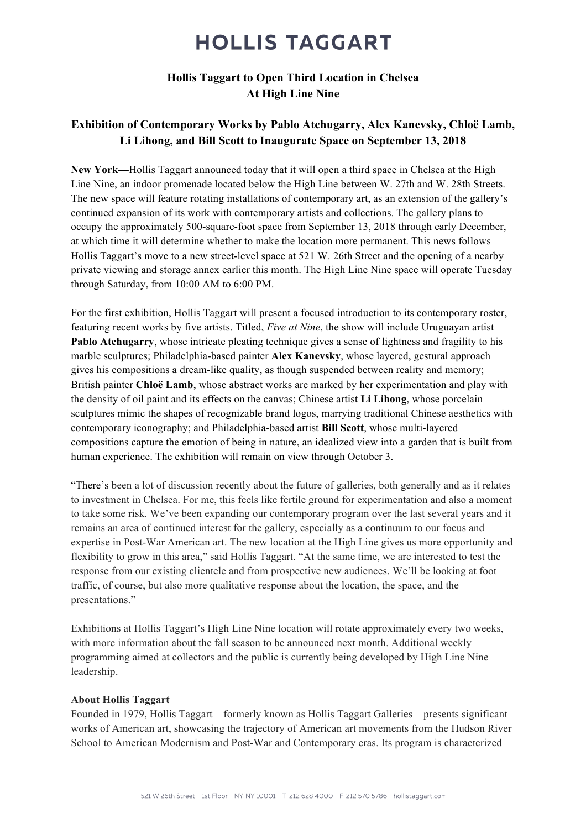## **HOLLIS TAGGART**

#### Hollis Taggart to Open Third Location in Chelsea At High Line Nine

### Exhibition of Contemporary Works by Pablo Atchugarry, Alex Kanevsky, Chlo**ë** Lamb, Li Lihong, and Bill Scott to Inaugurate Space on September 13, 2018

New York—Hollis Taggart announced today that it will open a third space in Chelsea at the High Line Nine, an indoor promenade located below the High Line between W. 27th and W. 28th Streets. The new space will feature rotating installations of contemporary art, as an extension of the gallery's continued expansion of its work with contemporary artists and collections. The gallery plans to occupy the approximately 500-square-foot space from September 13, 2018 through early December, at which time it will determine whether to make the location more permanent. This news follows Hollis Taggart's move to a new street-level space at 521 W. 26th Street and the opening of a nearby private viewing and storage annex earlier this month. The High Line Nine space will operate Tuesday through Saturday, from 10:00 AM to 6:00 PM.

For the first exhibition, Hollis Taggart will present a focused introduction to its contemporary roster, featuring recent works by five artists. Titled, *Five at Nine*, the show will include Uruguayan artist Pablo Atchugarry, whose intricate pleating technique gives a sense of lightness and fragility to his marble sculptures; Philadelphia-based painter Alex Kanevsky, whose layered, gestural approach gives his compositions a dream-like quality, as though suspended between reality and memory; British painter Chlo**ë** Lamb, whose abstract works are marked by her experimentation and play with the density of oil paint and its effects on the canvas; Chinese artist Li Lihong, whose porcelain sculptures mimic the shapes of recognizable brand logos, marrying traditional Chinese aesthetics with contemporary iconography; and Philadelphia-based artist Bill Scott, whose multi-layered compositions capture the emotion of being in nature, an idealized view into a garden that is built from human experience. The exhibition will remain on view through October 3.

"There's been a lot of discussion recently about the future of galleries, both generally and as it relates to investment in Chelsea. For me, this feels like fertile ground for experimentation and also a moment to take some risk. We've been expanding our contemporary program over the last several years and it remains an area of continued interest for the gallery, especially as a continuum to our focus and expertise in Post-War American art. The new location at the High Line gives us more opportunity and flexibility to grow in this area," said Hollis Taggart. "At the same time, we are interested to test the response from our existing clientele and from prospective new audiences. We'll be looking at foot traffic, of course, but also more qualitative response about the location, the space, and the presentations."

Exhibitions at Hollis Taggart's High Line Nine location will rotate approximately every two weeks, with more information about the fall season to be announced next month. Additional weekly programming aimed at collectors and the public is currently being developed by High Line Nine leadership.

#### About Hollis Taggart

Founded in 1979, Hollis Taggart—formerly known as Hollis Taggart Galleries—presents significant works of American art, showcasing the trajectory of American art movements from the Hudson River School to American Modernism and Post-War and Contemporary eras. Its program is characterized